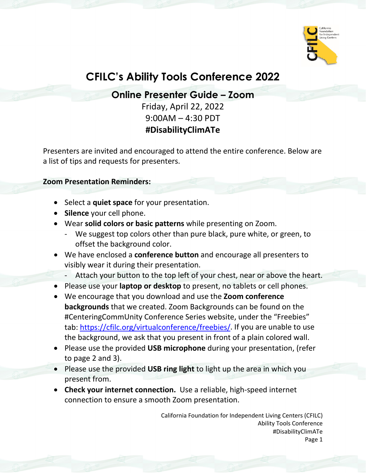

# **CFILC's Ability Tools Conference 2022**

**Online Presenter Guide – Zoom**

Friday, April 22, 2022 9:00AM – 4:30 PDT **#DisabilityClimATe**

Presenters are invited and encouraged to attend the entire conference. Below are a list of tips and requests for presenters.

#### **Zoom Presentation Reminders:**

- Select a **quiet space** for your presentation.
- **Silence** your cell phone.
- Wear **solid colors or basic patterns** while presenting on Zoom.
	- We suggest top colors other than pure black, pure white, or green, to offset the background color.
- We have enclosed a **conference button** and encourage all presenters to visibly wear it during their presentation.
	- Attach your button to the top left of your chest, near or above the heart.
- Please use your **laptop or desktop** to present, no tablets or cell phones.
- We encourage that you download and use the **Zoom conference backgrounds** that we created. Zoom Backgrounds can be found on the #CenteringCommUnity Conference Series website, under the "Freebies" tab: [https://cfilc.org/virtualconference/freebies/.](https://cfilc.org/virtualconference/freebies/) If you are unable to use the background, we ask that you present in front of a plain colored wall.
- Please use the provided **USB microphone** during your presentation, (refer to page 2 and 3).
- Please use the provided **USB ring light** to light up the area in which you present from.
- **Check your internet connection.** Use a reliable, high-speed internet connection to ensure a smooth Zoom presentation.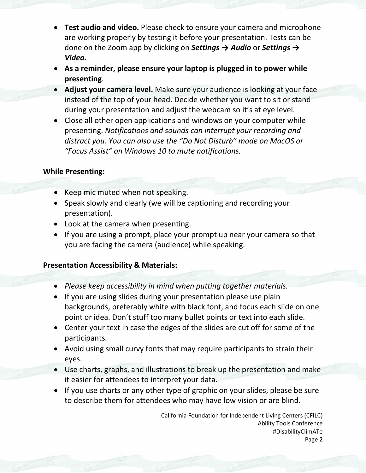- **Test audio and video.** Please check to ensure your camera and microphone are working properly by testing it before your presentation. Tests can be done on the Zoom app by clicking on *Settings → Audio* or *Settings → Video.*
- **As a reminder, please ensure your laptop is plugged in to power while presenting**.
- **Adjust your camera level.** Make sure your audience is looking at your face instead of the top of your head. Decide whether you want to sit or stand during your presentation and adjust the webcam so it's at eye level.
- Close all other open applications and windows on your computer while presenting. *Notifications and sounds can interrupt your recording and distract you. You can also use the "Do Not Disturb" mode on MacOS or "Focus Assist" on Windows 10 to mute notifications.*

### **While Presenting:**

- Keep mic muted when not speaking.
- Speak slowly and clearly (we will be captioning and recording your presentation).
- Look at the camera when presenting.
- If you are using a prompt, place your prompt up near your camera so that you are facing the camera (audience) while speaking.

## **Presentation Accessibility & Materials:**

- *Please keep accessibility in mind when putting together materials.*
- If you are using slides during your presentation please use plain backgrounds, preferably white with black font, and focus each slide on one point or idea. Don't stuff too many bullet points or text into each slide.
- Center your text in case the edges of the slides are cut off for some of the participants.
- Avoid using small curvy fonts that may require participants to strain their eyes.
- Use charts, graphs, and illustrations to break up the presentation and make it easier for attendees to interpret your data.
- If you use charts or any other type of graphic on your slides, please be sure to describe them for attendees who may have low vision or are blind.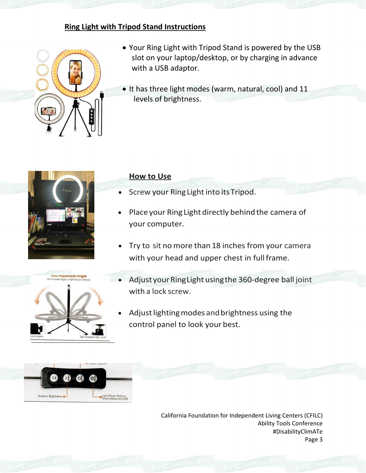## **Ring Light with Tripod Stand Instructions**



- Your Ring Light with Tripod Stand is powered by the USB slot on your laptop/desktop, or by charging in advance with a USB adaptor.
- It has three light modes (warm, natural, cool) and 11 levels of brightness.





- Screw your Ring Light into its Tripod.
- Place your Ring Light directly behind the camera of your computer.
- Try to sit nomore than 18 inches from your camera with your head and upper chest in full frame.
- Adjust your Ring Light using the 360-degree ball joint with a lock screw.
- Adjust lighting modes and brightness using the control panel to look your best.